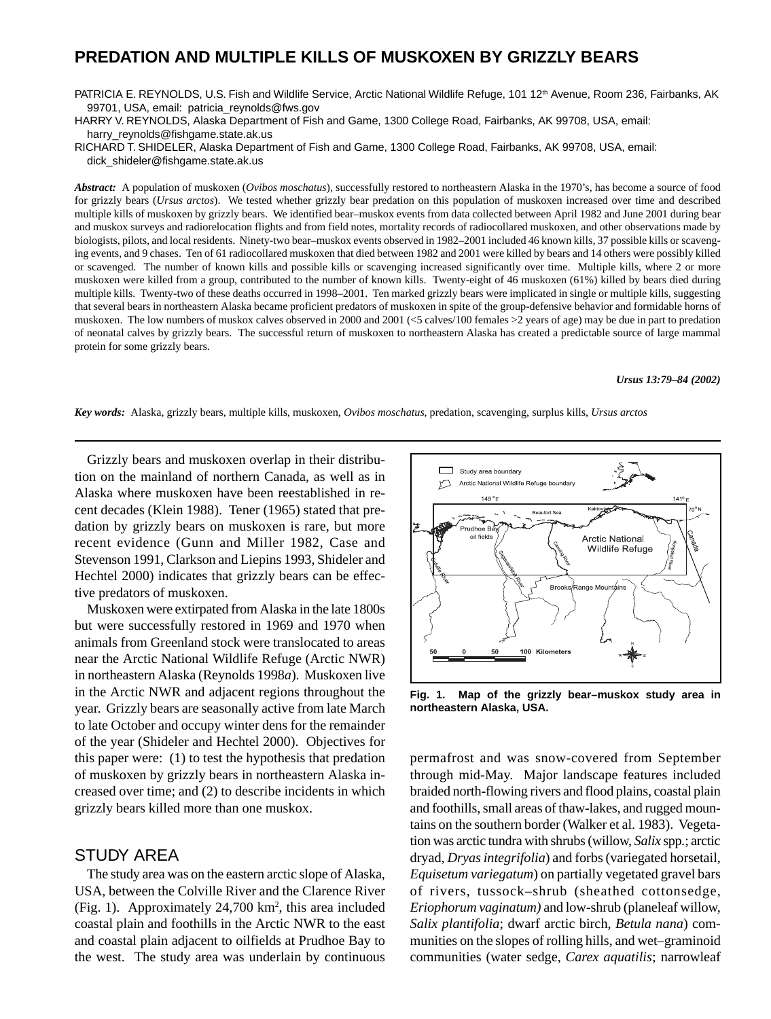# **PREDATION AND MULTIPLE KILLS OF MUSKOXEN BY GRIZZLY BEARS**

PATRICIA E. REYNOLDS, U.S. Fish and Wildlife Service, Arctic National Wildlife Refuge, 101 12<sup>th</sup> Avenue, Room 236, Fairbanks, AK 99701, USA, email: patricia\_reynolds@fws.gov

HARRY V. REYNOLDS, Alaska Department of Fish and Game, 1300 College Road, Fairbanks, AK 99708, USA, email: harry\_reynolds@fishgame.state.ak.us

RICHARD T. SHIDELER, Alaska Department of Fish and Game, 1300 College Road, Fairbanks, AK 99708, USA, email: dick\_shideler@fishgame.state.ak.us

*Abstract:* A population of muskoxen (*Ovibos moschatus*), successfully restored to northeastern Alaska in the 1970's, has become a source of food for grizzly bears (*Ursus arctos*). We tested whether grizzly bear predation on this population of muskoxen increased over time and described multiple kills of muskoxen by grizzly bears. We identified bear–muskox events from data collected between April 1982 and June 2001 during bear and muskox surveys and radiorelocation flights and from field notes, mortality records of radiocollared muskoxen, and other observations made by biologists, pilots, and local residents. Ninety-two bear–muskox events observed in 1982–2001 included 46 known kills, 37 possible kills or scavenging events, and 9 chases. Ten of 61 radiocollared muskoxen that died between 1982 and 2001 were killed by bears and 14 others were possibly killed or scavenged. The number of known kills and possible kills or scavenging increased significantly over time. Multiple kills, where 2 or more muskoxen were killed from a group, contributed to the number of known kills. Twenty-eight of 46 muskoxen (61%) killed by bears died during multiple kills. Twenty-two of these deaths occurred in 1998–2001. Ten marked grizzly bears were implicated in single or multiple kills, suggesting that several bears in northeastern Alaska became proficient predators of muskoxen in spite of the group-defensive behavior and formidable horns of muskoxen. The low numbers of muskox calves observed in 2000 and 2001 (<5 calves/100 females >2 years of age) may be due in part to predation of neonatal calves by grizzly bears. The successful return of muskoxen to northeastern Alaska has created a predictable source of large mammal protein for some grizzly bears.

#### *Ursus 13:79–84 (2002)*

*Key words:* Alaska, grizzly bears, multiple kills, muskoxen, *Ovibos moschatus*, predation, scavenging, surplus kills, *Ursus arctos*

Grizzly bears and muskoxen overlap in their distribution on the mainland of northern Canada, as well as in Alaska where muskoxen have been reestablished in recent decades (Klein 1988). Tener (1965) stated that predation by grizzly bears on muskoxen is rare, but more recent evidence (Gunn and Miller 1982, Case and Stevenson 1991, Clarkson and Liepins 1993, Shideler and Hechtel 2000) indicates that grizzly bears can be effective predators of muskoxen.

Muskoxen were extirpated from Alaska in the late 1800s but were successfully restored in 1969 and 1970 when animals from Greenland stock were translocated to areas near the Arctic National Wildlife Refuge (Arctic NWR) in northeastern Alaska (Reynolds 1998*a*). Muskoxen live in the Arctic NWR and adjacent regions throughout the year. Grizzly bears are seasonally active from late March to late October and occupy winter dens for the remainder of the year (Shideler and Hechtel 2000). Objectives for this paper were: (1) to test the hypothesis that predation of muskoxen by grizzly bears in northeastern Alaska increased over time; and (2) to describe incidents in which grizzly bears killed more than one muskox.

## STUDY AREA

The study area was on the eastern arctic slope of Alaska, USA, between the Colville River and the Clarence River (Fig. 1). Approximately 24,700 km<sup>2</sup>, this area included coastal plain and foothills in the Arctic NWR to the east and coastal plain adjacent to oilfields at Prudhoe Bay to the west. The study area was underlain by continuous



**Fig. 1. Map of the grizzly bear–muskox study area in northeastern Alaska, USA.**

permafrost and was snow-covered from September through mid-May. Major landscape features included braided north-flowing rivers and flood plains, coastal plain and foothills, small areas of thaw-lakes, and rugged mountains on the southern border (Walker et al. 1983). Vegetation was arctic tundra with shrubs (willow, *Salix* spp*.*; arctic dryad, *Dryas integrifolia*) and forbs (variegated horsetail, *Equisetum variegatum*) on partially vegetated gravel bars of rivers, tussock–shrub (sheathed cottonsedge, *Eriophorum vaginatum)* and low-shrub (planeleaf willow, *Salix plantifolia*; dwarf arctic birch, *Betula nana*) communities on the slopes of rolling hills, and wet–graminoid communities (water sedge, *Carex aquatilis*; narrowleaf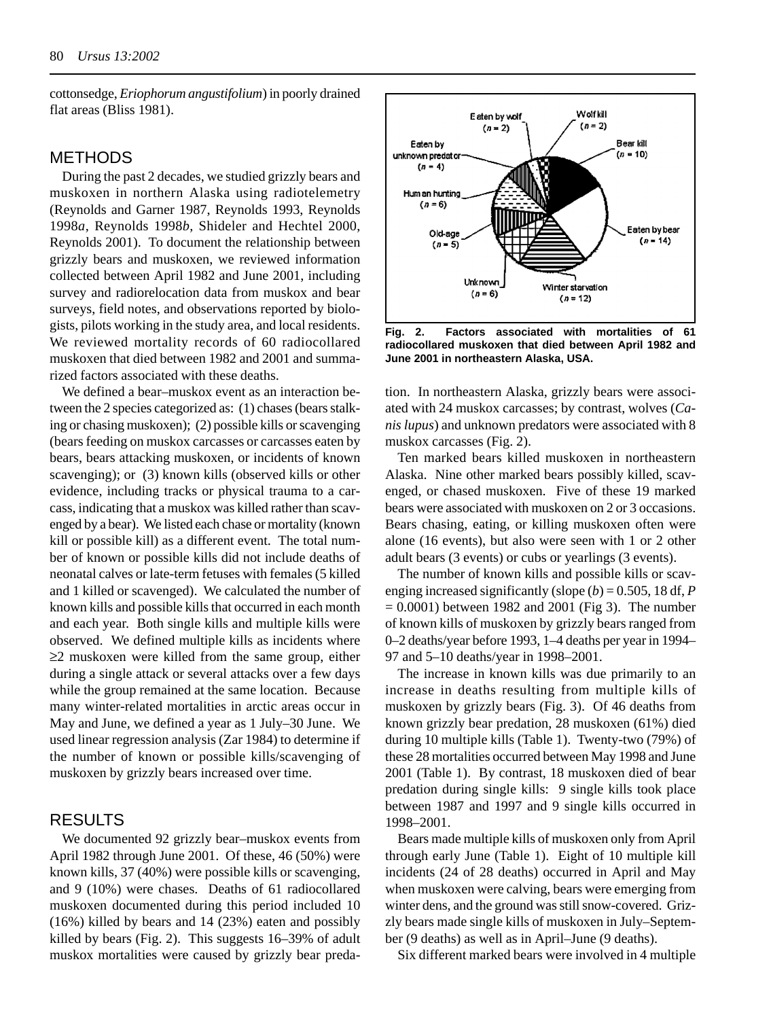cottonsedge, *Eriophorum angustifolium*) in poorly drained flat areas (Bliss 1981).

## METHODS

During the past 2 decades, we studied grizzly bears and muskoxen in northern Alaska using radiotelemetry (Reynolds and Garner 1987, Reynolds 1993, Reynolds 1998*a*, Reynolds 1998*b*, Shideler and Hechtel 2000, Reynolds 2001). To document the relationship between grizzly bears and muskoxen, we reviewed information collected between April 1982 and June 2001, including survey and radiorelocation data from muskox and bear surveys, field notes, and observations reported by biologists, pilots working in the study area, and local residents. We reviewed mortality records of 60 radiocollared muskoxen that died between 1982 and 2001 and summarized factors associated with these deaths.

We defined a bear–muskox event as an interaction between the 2 species categorized as: (1) chases (bears stalking or chasing muskoxen); (2) possible kills or scavenging (bears feeding on muskox carcasses or carcasses eaten by bears, bears attacking muskoxen, or incidents of known scavenging); or (3) known kills (observed kills or other evidence, including tracks or physical trauma to a carcass, indicating that a muskox was killed rather than scavenged by a bear). We listed each chase or mortality (known kill or possible kill) as a different event. The total number of known or possible kills did not include deaths of neonatal calves or late-term fetuses with females (5 killed and 1 killed or scavenged). We calculated the number of known kills and possible kills that occurred in each month and each year. Both single kills and multiple kills were observed. We defined multiple kills as incidents where ≥2 muskoxen were killed from the same group, either during a single attack or several attacks over a few days while the group remained at the same location. Because many winter-related mortalities in arctic areas occur in May and June, we defined a year as 1 July–30 June. We used linear regression analysis (Zar 1984) to determine if the number of known or possible kills/scavenging of muskoxen by grizzly bears increased over time.

## RESULTS

We documented 92 grizzly bear–muskox events from April 1982 through June 2001. Of these, 46 (50%) were known kills, 37 (40%) were possible kills or scavenging, and 9 (10%) were chases. Deaths of 61 radiocollared muskoxen documented during this period included 10 (16%) killed by bears and 14 (23%) eaten and possibly killed by bears (Fig. 2). This suggests 16–39% of adult muskox mortalities were caused by grizzly bear preda-



**Fig. 2. Factors associated with mortalities of 61 radiocollared muskoxen that died between April 1982 and June 2001 in northeastern Alaska, USA.**

tion. In northeastern Alaska, grizzly bears were associated with 24 muskox carcasses; by contrast, wolves (*Canis lupus*) and unknown predators were associated with 8 muskox carcasses (Fig. 2).

Ten marked bears killed muskoxen in northeastern Alaska. Nine other marked bears possibly killed, scavenged, or chased muskoxen. Five of these 19 marked bears were associated with muskoxen on 2 or 3 occasions. Bears chasing, eating, or killing muskoxen often were alone (16 events), but also were seen with 1 or 2 other adult bears (3 events) or cubs or yearlings (3 events).

The number of known kills and possible kills or scavenging increased significantly (slope (*b*) = 0.505, 18 df, *P*  $= 0.0001$ ) between 1982 and 2001 (Fig 3). The number of known kills of muskoxen by grizzly bears ranged from 0–2 deaths/year before 1993, 1–4 deaths per year in 1994– 97 and 5–10 deaths/year in 1998–2001.

The increase in known kills was due primarily to an increase in deaths resulting from multiple kills of muskoxen by grizzly bears (Fig. 3). Of 46 deaths from known grizzly bear predation, 28 muskoxen (61%) died during 10 multiple kills (Table 1). Twenty-two (79%) of these 28 mortalities occurred between May 1998 and June 2001 (Table 1). By contrast, 18 muskoxen died of bear predation during single kills: 9 single kills took place between 1987 and 1997 and 9 single kills occurred in 1998–2001.

Bears made multiple kills of muskoxen only from April through early June (Table 1). Eight of 10 multiple kill incidents (24 of 28 deaths) occurred in April and May when muskoxen were calving, bears were emerging from winter dens, and the ground was still snow-covered. Grizzly bears made single kills of muskoxen in July–September (9 deaths) as well as in April–June (9 deaths).

Six different marked bears were involved in 4 multiple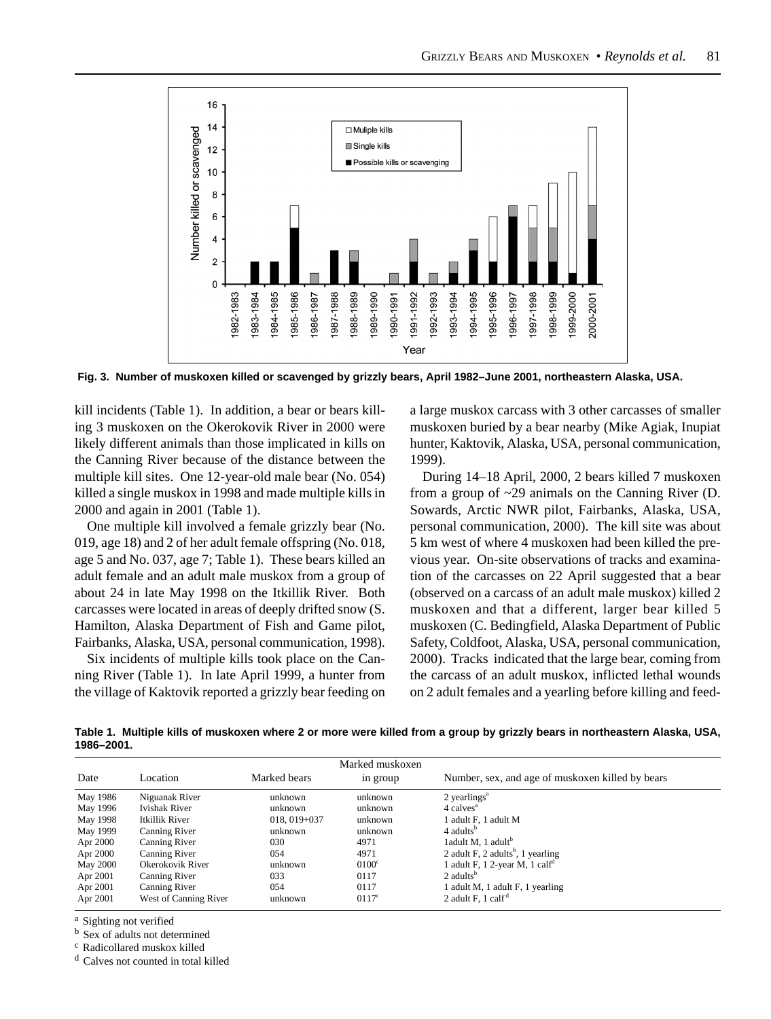

 **Fig. 3. Number of muskoxen killed or scavenged by grizzly bears, April 1982–June 2001, northeastern Alaska, USA.**

kill incidents (Table 1). In addition, a bear or bears killing 3 muskoxen on the Okerokovik River in 2000 were likely different animals than those implicated in kills on the Canning River because of the distance between the multiple kill sites. One 12-year-old male bear (No. 054) killed a single muskox in 1998 and made multiple kills in 2000 and again in 2001 (Table 1).

One multiple kill involved a female grizzly bear (No. 019, age 18) and 2 of her adult female offspring (No. 018, age 5 and No. 037, age 7; Table 1). These bears killed an adult female and an adult male muskox from a group of about 24 in late May 1998 on the Itkillik River. Both carcasses were located in areas of deeply drifted snow (S. Hamilton, Alaska Department of Fish and Game pilot, Fairbanks, Alaska, USA, personal communication, 1998).

Six incidents of multiple kills took place on the Canning River (Table 1). In late April 1999, a hunter from the village of Kaktovik reported a grizzly bear feeding on a large muskox carcass with 3 other carcasses of smaller muskoxen buried by a bear nearby (Mike Agiak, Inupiat hunter, Kaktovik, Alaska, USA, personal communication, 1999).

During 14–18 April, 2000, 2 bears killed 7 muskoxen from a group of ~29 animals on the Canning River (D. Sowards, Arctic NWR pilot, Fairbanks, Alaska, USA, personal communication, 2000). The kill site was about 5 km west of where 4 muskoxen had been killed the previous year. On-site observations of tracks and examination of the carcasses on 22 April suggested that a bear (observed on a carcass of an adult male muskox) killed 2 muskoxen and that a different, larger bear killed 5 muskoxen (C. Bedingfield, Alaska Department of Public Safety, Coldfoot, Alaska, USA, personal communication, 2000). Tracks indicated that the large bear, coming from the carcass of an adult muskox, inflicted lethal wounds on 2 adult females and a yearling before killing and feed-

**Table 1. Multiple kills of muskoxen where 2 or more were killed from a group by grizzly bears in northeastern Alaska, USA, 1986–2001.**

|          |                       |                  | Marked muskoxen |                                                  |
|----------|-----------------------|------------------|-----------------|--------------------------------------------------|
| Date     | Location              | Marked bears     | in group        | Number, sex, and age of muskoxen killed by bears |
| May 1986 | Niguanak River        | unknown          | unknown         | $2$ yearlings <sup><math>a</math></sup>          |
| May 1996 | <b>Ivishak River</b>  | unknown          | unknown         | 4 calves <sup>a</sup>                            |
| May 1998 | Itkillik River        | $018, 019 + 037$ | unknown         | 1 adult F, 1 adult M                             |
| May 1999 | Canning River         | unknown          | unknown         | 4 adults <sup>b</sup>                            |
| Apr 2000 | Canning River         | 030              | 4971            | 1adult M, 1 adult <sup>b</sup>                   |
| Apr 2000 | Canning River         | 054              | 4971            | 2 adult F, 2 adults <sup>b</sup> , 1 yearling    |
| May 2000 | Okerokovik River      | unknown          | $0100^{\circ}$  | 1 adult F, 1 2-year M, 1 calf <sup>d</sup>       |
| Apr 2001 | Canning River         | 033              | 0117            | $2$ adults <sup>b</sup>                          |
| Apr 2001 | Canning River         | 054              | 0117            | adult M, 1 adult F, 1 yearling                   |
| Apr 2001 | West of Canning River | unknown          | $0117^{\circ}$  | 2 adult F, $1$ calf <sup><math>a</math></sup>    |

a Sighting not verified

b Sex of adults not determined

c Radicollared muskox killed

d Calves not counted in total killed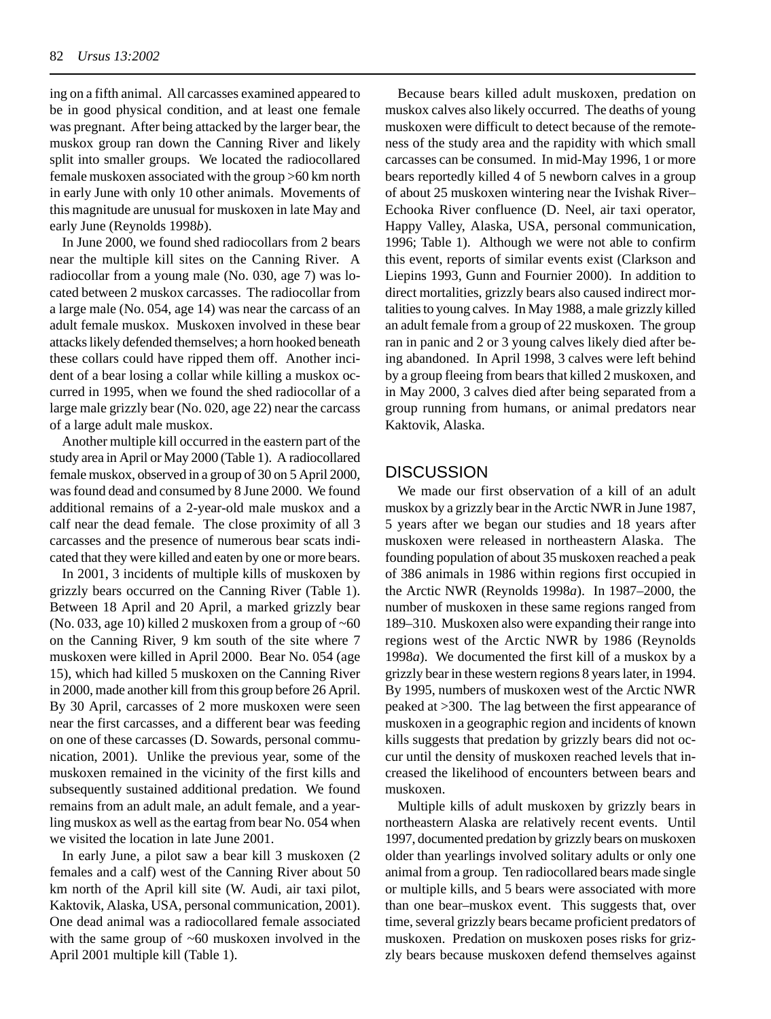ing on a fifth animal. All carcasses examined appeared to be in good physical condition, and at least one female was pregnant. After being attacked by the larger bear, the muskox group ran down the Canning River and likely split into smaller groups. We located the radiocollared female muskoxen associated with the group >60 km north in early June with only 10 other animals. Movements of this magnitude are unusual for muskoxen in late May and early June (Reynolds 1998*b*).

In June 2000, we found shed radiocollars from 2 bears near the multiple kill sites on the Canning River. A radiocollar from a young male (No. 030, age 7) was located between 2 muskox carcasses. The radiocollar from a large male (No. 054, age 14) was near the carcass of an adult female muskox. Muskoxen involved in these bear attacks likely defended themselves; a horn hooked beneath these collars could have ripped them off. Another incident of a bear losing a collar while killing a muskox occurred in 1995, when we found the shed radiocollar of a large male grizzly bear (No. 020, age 22) near the carcass of a large adult male muskox.

Another multiple kill occurred in the eastern part of the study area in April or May 2000 (Table 1). A radiocollared female muskox, observed in a group of 30 on 5 April 2000, was found dead and consumed by 8 June 2000. We found additional remains of a 2-year-old male muskox and a calf near the dead female. The close proximity of all 3 carcasses and the presence of numerous bear scats indicated that they were killed and eaten by one or more bears.

In 2001, 3 incidents of multiple kills of muskoxen by grizzly bears occurred on the Canning River (Table 1). Between 18 April and 20 April, a marked grizzly bear (No. 033, age 10) killed 2 muskoxen from a group of  $~560$ on the Canning River, 9 km south of the site where 7 muskoxen were killed in April 2000. Bear No. 054 (age 15), which had killed 5 muskoxen on the Canning River in 2000, made another kill from this group before 26 April. By 30 April, carcasses of 2 more muskoxen were seen near the first carcasses, and a different bear was feeding on one of these carcasses (D. Sowards, personal communication, 2001). Unlike the previous year, some of the muskoxen remained in the vicinity of the first kills and subsequently sustained additional predation. We found remains from an adult male, an adult female, and a yearling muskox as well as the eartag from bear No. 054 when we visited the location in late June 2001.

In early June, a pilot saw a bear kill 3 muskoxen (2 females and a calf) west of the Canning River about 50 km north of the April kill site (W. Audi, air taxi pilot, Kaktovik, Alaska, USA, personal communication, 2001). One dead animal was a radiocollared female associated with the same group of  $~60$  muskoxen involved in the April 2001 multiple kill (Table 1).

Because bears killed adult muskoxen, predation on muskox calves also likely occurred. The deaths of young muskoxen were difficult to detect because of the remoteness of the study area and the rapidity with which small carcasses can be consumed. In mid-May 1996, 1 or more bears reportedly killed 4 of 5 newborn calves in a group of about 25 muskoxen wintering near the Ivishak River– Echooka River confluence (D. Neel, air taxi operator, Happy Valley, Alaska, USA, personal communication, 1996; Table 1). Although we were not able to confirm this event, reports of similar events exist (Clarkson and Liepins 1993, Gunn and Fournier 2000). In addition to direct mortalities, grizzly bears also caused indirect mortalities to young calves. In May 1988, a male grizzly killed an adult female from a group of 22 muskoxen. The group ran in panic and 2 or 3 young calves likely died after being abandoned. In April 1998, 3 calves were left behind by a group fleeing from bears that killed 2 muskoxen, and in May 2000, 3 calves died after being separated from a group running from humans, or animal predators near Kaktovik, Alaska.

#### **DISCUSSION**

We made our first observation of a kill of an adult muskox by a grizzly bear in the Arctic NWR in June 1987, 5 years after we began our studies and 18 years after muskoxen were released in northeastern Alaska. The founding population of about 35 muskoxen reached a peak of 386 animals in 1986 within regions first occupied in the Arctic NWR (Reynolds 1998*a*). In 1987–2000, the number of muskoxen in these same regions ranged from 189–310. Muskoxen also were expanding their range into regions west of the Arctic NWR by 1986 (Reynolds 1998*a*). We documented the first kill of a muskox by a grizzly bear in these western regions 8 years later, in 1994. By 1995, numbers of muskoxen west of the Arctic NWR peaked at >300. The lag between the first appearance of muskoxen in a geographic region and incidents of known kills suggests that predation by grizzly bears did not occur until the density of muskoxen reached levels that increased the likelihood of encounters between bears and muskoxen.

Multiple kills of adult muskoxen by grizzly bears in northeastern Alaska are relatively recent events. Until 1997, documented predation by grizzly bears on muskoxen older than yearlings involved solitary adults or only one animal from a group. Ten radiocollared bears made single or multiple kills, and 5 bears were associated with more than one bear–muskox event. This suggests that, over time, several grizzly bears became proficient predators of muskoxen. Predation on muskoxen poses risks for grizzly bears because muskoxen defend themselves against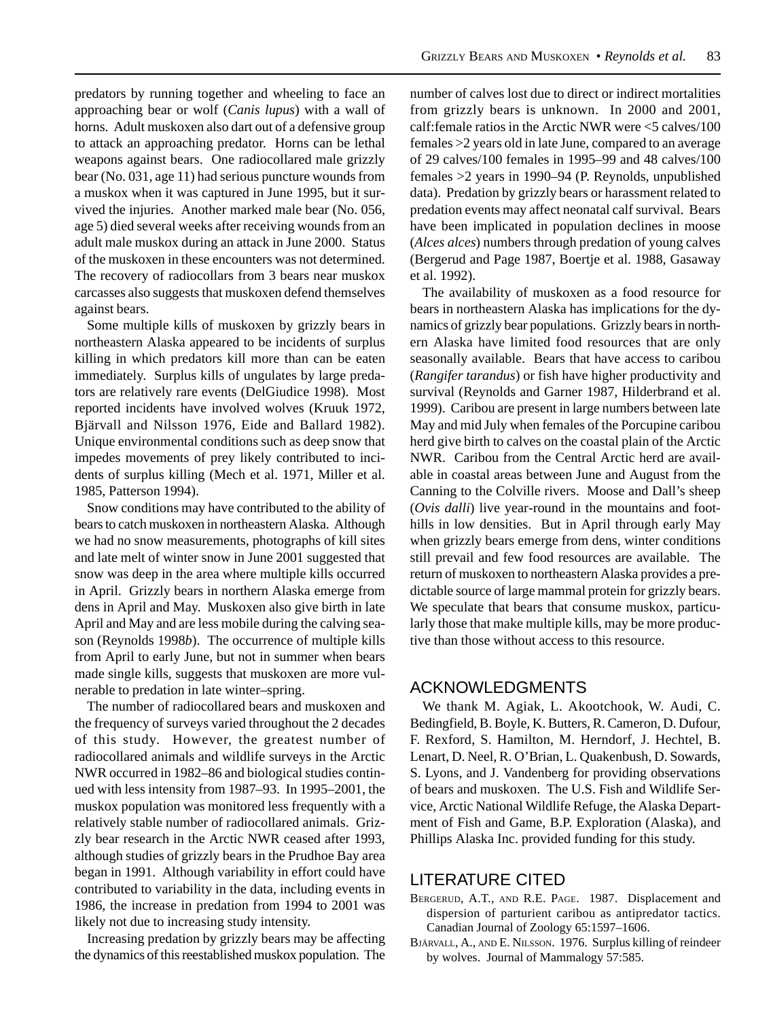predators by running together and wheeling to face an approaching bear or wolf (*Canis lupus*) with a wall of horns. Adult muskoxen also dart out of a defensive group to attack an approaching predator. Horns can be lethal weapons against bears. One radiocollared male grizzly bear (No. 031, age 11) had serious puncture wounds from a muskox when it was captured in June 1995, but it survived the injuries. Another marked male bear (No. 056, age 5) died several weeks after receiving wounds from an adult male muskox during an attack in June 2000. Status of the muskoxen in these encounters was not determined. The recovery of radiocollars from 3 bears near muskox carcasses also suggests that muskoxen defend themselves against bears.

Some multiple kills of muskoxen by grizzly bears in northeastern Alaska appeared to be incidents of surplus killing in which predators kill more than can be eaten immediately. Surplus kills of ungulates by large predators are relatively rare events (DelGiudice 1998). Most reported incidents have involved wolves (Kruuk 1972, Bjärvall and Nilsson 1976, Eide and Ballard 1982). Unique environmental conditions such as deep snow that impedes movements of prey likely contributed to incidents of surplus killing (Mech et al. 1971, Miller et al. 1985, Patterson 1994).

Snow conditions may have contributed to the ability of bears to catch muskoxen in northeastern Alaska. Although we had no snow measurements, photographs of kill sites and late melt of winter snow in June 2001 suggested that snow was deep in the area where multiple kills occurred in April. Grizzly bears in northern Alaska emerge from dens in April and May. Muskoxen also give birth in late April and May and are less mobile during the calving season (Reynolds 1998*b*). The occurrence of multiple kills from April to early June, but not in summer when bears made single kills, suggests that muskoxen are more vulnerable to predation in late winter–spring.

The number of radiocollared bears and muskoxen and the frequency of surveys varied throughout the 2 decades of this study. However, the greatest number of radiocollared animals and wildlife surveys in the Arctic NWR occurred in 1982–86 and biological studies continued with less intensity from 1987–93. In 1995–2001, the muskox population was monitored less frequently with a relatively stable number of radiocollared animals. Grizzly bear research in the Arctic NWR ceased after 1993, although studies of grizzly bears in the Prudhoe Bay area began in 1991. Although variability in effort could have contributed to variability in the data, including events in 1986, the increase in predation from 1994 to 2001 was likely not due to increasing study intensity.

Increasing predation by grizzly bears may be affecting the dynamics of this reestablished muskox population. The

number of calves lost due to direct or indirect mortalities from grizzly bears is unknown. In 2000 and 2001, calf:female ratios in the Arctic NWR were <5 calves/100 females >2 years old in late June, compared to an average of 29 calves/100 females in 1995–99 and 48 calves/100 females >2 years in 1990–94 (P. Reynolds, unpublished data). Predation by grizzly bears or harassment related to predation events may affect neonatal calf survival. Bears have been implicated in population declines in moose (*Alces alces*) numbers through predation of young calves (Bergerud and Page 1987, Boertje et al. 1988, Gasaway et al. 1992).

The availability of muskoxen as a food resource for bears in northeastern Alaska has implications for the dynamics of grizzly bear populations. Grizzly bears in northern Alaska have limited food resources that are only seasonally available. Bears that have access to caribou (*Rangifer tarandus*) or fish have higher productivity and survival (Reynolds and Garner 1987, Hilderbrand et al. 1999). Caribou are present in large numbers between late May and mid July when females of the Porcupine caribou herd give birth to calves on the coastal plain of the Arctic NWR. Caribou from the Central Arctic herd are available in coastal areas between June and August from the Canning to the Colville rivers. Moose and Dall's sheep (*Ovis dalli*) live year-round in the mountains and foothills in low densities. But in April through early May when grizzly bears emerge from dens, winter conditions still prevail and few food resources are available. The return of muskoxen to northeastern Alaska provides a predictable source of large mammal protein for grizzly bears. We speculate that bears that consume muskox, particularly those that make multiple kills, may be more productive than those without access to this resource.

### ACKNOWLEDGMENTS

We thank M. Agiak, L. Akootchook, W. Audi, C. Bedingfield, B. Boyle, K. Butters, R. Cameron, D. Dufour, F. Rexford, S. Hamilton, M. Herndorf, J. Hechtel, B. Lenart, D. Neel, R. O'Brian, L. Quakenbush, D. Sowards, S. Lyons, and J. Vandenberg for providing observations of bears and muskoxen. The U.S. Fish and Wildlife Service, Arctic National Wildlife Refuge, the Alaska Department of Fish and Game, B.P. Exploration (Alaska), and Phillips Alaska Inc. provided funding for this study.

### LITERATURE CITED

- BERGERUD, A.T., AND R.E. PAGE. 1987. Displacement and dispersion of parturient caribou as antipredator tactics. Canadian Journal of Zoology 65:1597–1606.
- BJÄRVALL, A., AND E. NILSSON. 1976. Surplus killing of reindeer by wolves. Journal of Mammalogy 57:585.